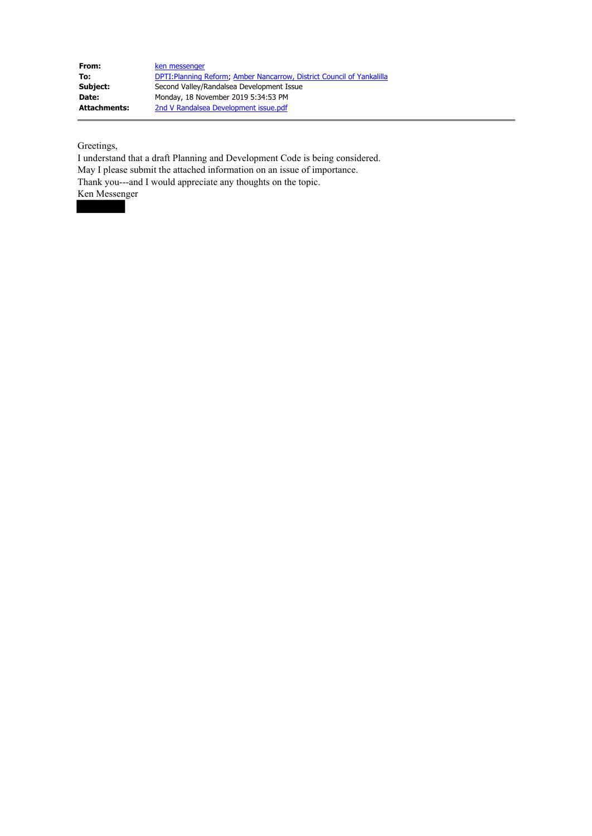| From:               | ken messenger                                                          |
|---------------------|------------------------------------------------------------------------|
| To:                 | DPTI: Planning Reform; Amber Nancarrow, District Council of Yankalilla |
| Subject:            | Second Valley/Randalsea Development Issue                              |
| <b>Date:</b>        | Monday, 18 November 2019 5:34:53 PM                                    |
| <b>Attachments:</b> | 2nd V Randalsea Development issue.pdf                                  |

Greetings,

I understand that a draft Planning and Development Code is being considered. May I please submit the attached information on an issue of importance. Thank you---and I would appreciate any thoughts on the topic. Ken Messenger